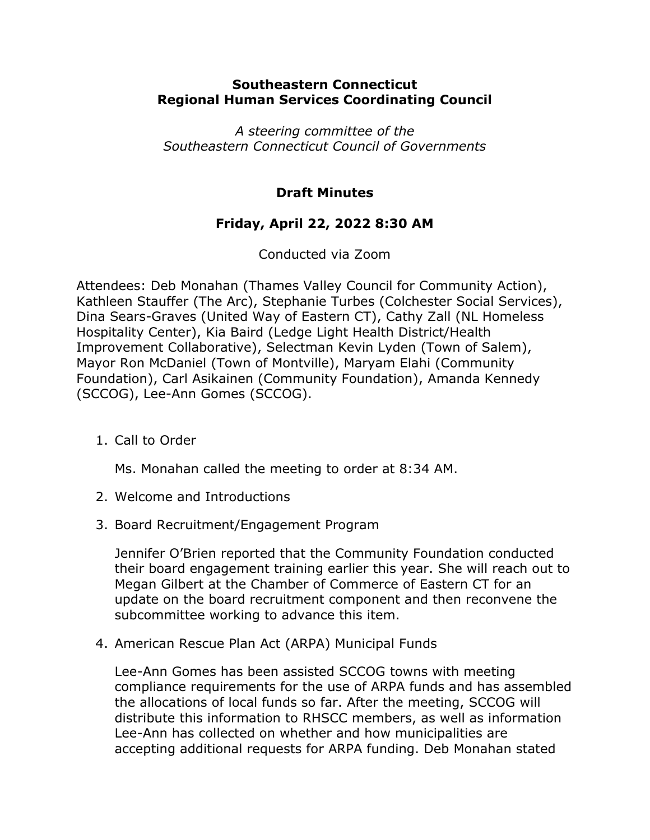## **Southeastern Connecticut Regional Human Services Coordinating Council**

*A steering committee of the Southeastern Connecticut Council of Governments*

## **Draft Minutes**

## **Friday, April 22, 2022 8:30 AM**

Conducted via Zoom

Attendees: Deb Monahan (Thames Valley Council for Community Action), Kathleen Stauffer (The Arc), Stephanie Turbes (Colchester Social Services), Dina Sears-Graves (United Way of Eastern CT), Cathy Zall (NL Homeless Hospitality Center), Kia Baird (Ledge Light Health District/Health Improvement Collaborative), Selectman Kevin Lyden (Town of Salem), Mayor Ron McDaniel (Town of Montville), Maryam Elahi (Community Foundation), Carl Asikainen (Community Foundation), Amanda Kennedy (SCCOG), Lee-Ann Gomes (SCCOG).

1. Call to Order

Ms. Monahan called the meeting to order at 8:34 AM.

- 2. Welcome and Introductions
- 3. Board Recruitment/Engagement Program

Jennifer O'Brien reported that the Community Foundation conducted their board engagement training earlier this year. She will reach out to Megan Gilbert at the Chamber of Commerce of Eastern CT for an update on the board recruitment component and then reconvene the subcommittee working to advance this item.

4. American Rescue Plan Act (ARPA) Municipal Funds

Lee-Ann Gomes has been assisted SCCOG towns with meeting compliance requirements for the use of ARPA funds and has assembled the allocations of local funds so far. After the meeting, SCCOG will distribute this information to RHSCC members, as well as information Lee-Ann has collected on whether and how municipalities are accepting additional requests for ARPA funding. Deb Monahan stated